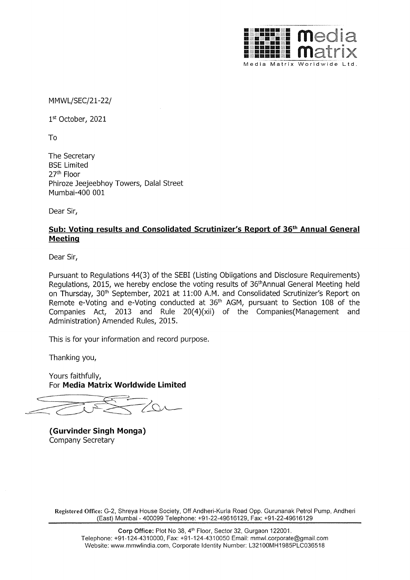

MMWL/SEC/21-22/

1st October, 2021

To

The Secretary BSE Limited 27th Floor Phiroze Jeejeebhoy Towers, Dalal Street Mumbai-400 001

Dear Sir,

## **Sub: Voting results and Consolidated Scrutinizer's Report of 36th Annual General Meeting**

Dear Sir,

Pursuant to Regulations 44(3) of the SEBI (Listing Obligations and Disclosure Requirements) Regulations, 2015, we hereby enclose the voting results of 36<sup>th</sup>Annual General Meeting held on Thursday, 30<sup>th</sup> September, 2021 at 11:00 A.M. and Consolidated Scrutinizer's Report on Remote e-Voting and e-Voting conducted at 36th AGM, pursuant to Section 108 of the Companies Act, 2013 and Rule 20(4)(xii) of the Companies(Management and Administration) Amended Rules, 2015.

This is for your information and record purpose.

Thanking you,

Yours faithfully, For **Media Matrix Worldwide Limited** 

**(Gurvinder Singh Monga)**  Company Secretary

**Registered Office:** G-2, Shreya House Society, Off Andheri-Kurla Road Opp. Gurunanak Petrol Pump, Andheri (East) Mumbai - 400099 Telephone: +91-22-49616129, Fax: +91-22-49616129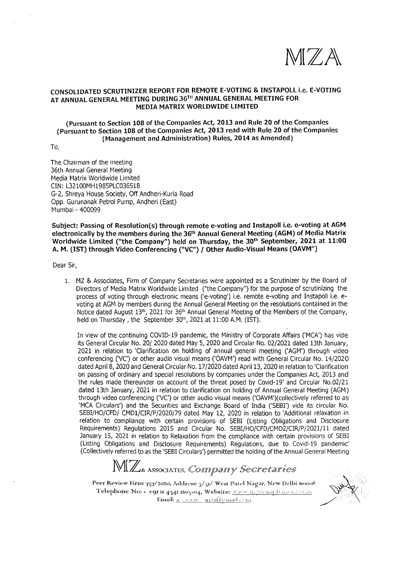

## **CONSOLIDATED SCRUTINIZER REPORT FOR REMOTE E-VOTING** & **INSTAPOLL i.e. E-VOTING**  AT ANNUAL GENERAL MEETING DURING 36TH ANNUAL GENERAL MEETING FOR **MEDIA MATRIX WORLDWIDE LIMITED**

#### **(Pursuant to Section 108 of the Companies Act, 2013 and Rule 20 of the Companies (Pursuant to Section 108 of the Companies Act, 2013 read with Rule 20 of the Companies (Management and Administration) Rules, 2014 as Amended)**

To,

The Chairman of the meeting 36th Annual General Meeting Media Matrix Worldwide Limited CIN: L32100MH1985PLC036518 G-2, Shreya House Society, Off Andheri-Kurla Road Opp. Gurunanak Petrol Pump, Andheri (East) Mumbai - 400099

**Subject: Passing of Resolution(s) through remote e-voting and Instapoll i.e. e-voting at AGM electronically by the members during the 36th Annual General Meeting {AGM} of Media Matrix Worldwide Limited {"the Company") held on Thursday, the 30th September, 2021 at 11:00 A. M. {1ST) through Video Conferencing ("VC")** / **other Audio-Visual Means (OAVM")** 

Dear Sir,

1. MZ & Associates, Firm of Company Secretaries were appointed as a Scrutinizer by the Board of Directors of Media Matrix Worldwide Limited ("the Company'') for the purpose of scrutinizing the process of voting through electronic means ('e-voting') i.e. remote e-voting and Instapoll i.e. evoting at AGM by members during the Annual General Meeting on the resolutions contained in the Notice dated August 13<sup>th</sup>, 2021 for 36<sup>th</sup> Annual General Meeting of the Members of the Company, held on Thursday, the September 30<sup>th</sup>, 2021 at 11:00 A.M. (IST).

In view of the continuing COVID-19 pandemic, the Ministry of Corporate Affairs ('MCA') has vide its General Circular No. 20/ 2020 dated May 5, 2020 and Circular No. 02/2021 dated 13th January, 2021 in relation to 'Clarification on holding of annual general meeting ('AGM') through video conferencing (VC') or other audio visual means ('OAVM') read with General Circular No. 14/2020 dated April 8, 2020 and General Circular No. 17 /2020 dated April 13, 2020 in relation to 'Clarification on passing of ordinary and special resolutions by companies under the Companies Act, 2013 and the rules made thereunder on account of the threat posed by Covid-19' and Circular No.02/21 dated 13th January, 2021 in relation to clarification on holding of Annual General Meeting (AGM) through video conferencing ('VC') or other audio visual means ('OAVM')(collectively referred to as 'MCA Circulars') and the Securities and Exchange Board of India ('SEBI') vide its circular No. SEBI/HO/CFD/ CMDl/CIR/P/2020/79 dated May 12, 2020 in relation to 'Additional relaxation in relation to compliance with certain provisions of SEBI (Listing Obligations and Disclosure Requirements) Regulations 2015 and Circular No. SEBI/HO/CFD/CMD2/CIR/P/2021/11 dated January 15, 2021 in relation to Relaxation from the compliance with certain provisions of SEBI (Listing Obligations and Disclosure Requirements) Regulations, due to Covid-19 pandemic' (Collectively referred to as the 'SEBI Circulars') permitted the holding of the Annual General Meeting

# M(Z Associates, Commpainy Secretaries

Peer Review Firm: 757/2020, Address: 3/31/ West Patel Nagar, New Delhi nooo8 Telephone No: - +91 R 4341 Ro3-04, Website: WEW. M. YVORIFlianCeleven  $E$ mail:  $\alpha$  secure mea $@$  mail, on

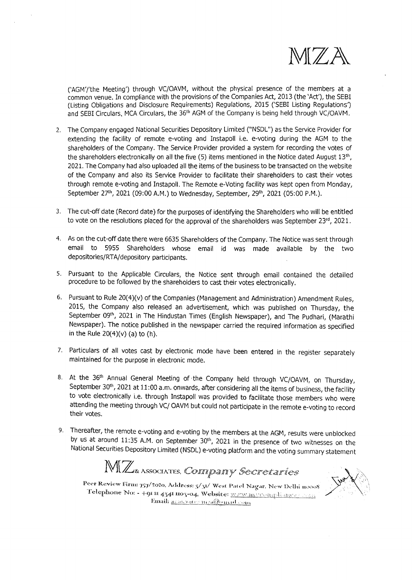

('AGM'/'the Meeting') through VC/OAVM, without the physical presence of the members at a common venue. In compliance with the provisions of the Companies Act, 2013 (the 'Act'), the SEBI (Listing Obligations and Disclosure Requirements) Regulations, 2015 ('SEBI Listing Regulations') and SEBI Circulars, MCA Circulars, the 36th AGM of the Company is being held through VC/OAVM.

- 2. The Company engaged National Securities Depository Limited ("NSDL") as the Service Provider for extending the facility of remote e-voting and Instapoll i.e. e-voting during the AGM to the shareholders of the Company. The Service Provider provided a system for recording the votes of the shareholders electronically on all the five (5) items mentioned in the Notice dated August 13th, 2021. The Company had also uploaded all the items of the business to be transacted on the website of the Company and also its Service Provider to facilitate their shareholders to cast their votes through remote e-voting and Instapoll. The Remote e-Voting facility was kept open from Monday, September 27<sup>th</sup>, 2021 (09:00 A.M.) to Wednesday, September, 29<sup>th</sup>, 2021 (05:00 P.M.).
- 3. The cut-off date (Record date) for the purposes of identifying the Shareholders who will be entitled to vote on the resolutions placed for the approval of the shareholders was September  $23^{rd}$ ,  $2021$ .
- 4. As on the cut-off date there were 6635 Shareholders of the Company. The Notice was sent through email to 5955 Shareholders whose email id was made available by the two depositories/RTA/depository participants.
- s. Pursuant to the Applicable Circulars, the Notice sent through email contained the detailed procedure to be followed by the shareholders to cast their votes electronically.
- 6. Pursuant to Rule 20(4)(v) of the Companies (Management and Administration) Amendment Rules, 2015, the Company also released an advertisement, which was published on Thursday, the September 09th, 2021 in The Hindustan Times (English Newspaper), and The Pudhari, (Marathi Newspaper). The notice published in the newspaper carried the required information as specified in the Rule  $20(4)(v)$  (a) to (h).
- 7. Particulars of all votes cast by electronic mode have been entered in the register separately maintained for the purpose in electronic mode.
- 8. At the 36<sup>th</sup> Annual General Meeting of the Company held through VC/OAVM, on Thursday, September 30<sup>th</sup>, 2021 at 11:00 a.m. onwards, after considering all the items of business, the facility to vote electronically i.e. through Instapoll was provided to facilitate those members who were attending the meeting through VC/ OAVM but could not participate in the remote e-voting to record their votes.
- 9. Thereafter, the remote e-voting and e-voting by the members at the AGM, results were unblocked by us at around 11:35 A.M. on September  $30<sup>th</sup>$ , 2021 in the presence of two witnesses on the National Securities Depository Limited (NSDL) e-voting platform and the voting summary statement

 $\mathbb{MZ}$ <sub>&</sub> Associates, *Coinnipainy Secretaries* 

Peer Review Firm: 757/2020, Address: 3/31/ West Patel Nagar, New Delhi nooos Telephone No: - +9n nn 434n mo3-04, Website: *www.maxicomaplianares* reasy Email: assessed remeal Quanticour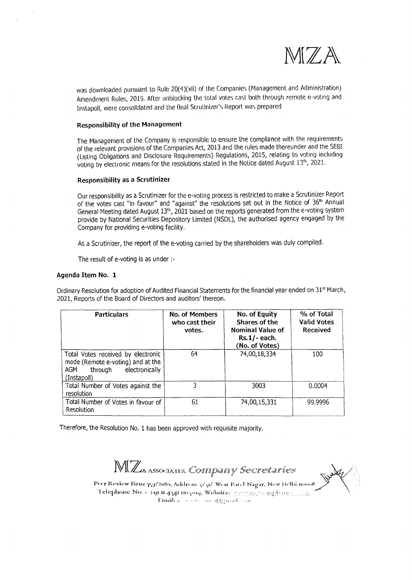

was downloaded pursuant to Rule 20(4)(xii) of the Companies (Management and Administration) Amendment Rules, 2015. After unblocking the total votes cast both through remote e-voting and Instapoll, were consolidated and the final Scrutinizer's Report was prepared

#### **Responsibility of the Management**

The Management of the Company is responsible lo ensure lhe compliance with the requirements of the relevant provisions of the Companies Acl, 2013 and the rules made thereunder and the SEBI (Listing Obligations and Disclosure Requirements) Regulations, 2015, relating to voting including voting by electronic means for the resolutions stated in the Notice dated August 13<sup>th</sup>, 2021.

#### **Responsibility as a Scrutinizer**

Our responsibility as a Scrutinizer for the e-votlng process is restricted to make a Scrutinizer Report of the votes cast "in favour" and "against" the resolutions set out in the Notice of 36<sup>th</sup> Annual General Meeting dated August 13<sup>th</sup>, 2021 based on the reports generated from the e-voting system provide by National Securities Depository Limited (NSDL), the authorised agency engaged by the Company for providing e-voting facility.

As a Scrutinizer, the report of the e-voting carried by the shareholders was duly compiled.

The result of e-voting is as under :-

#### **Agenda Item No. 1**

Ordinary Resolution for adoption of Audited Financial Statements for the financial year ended on 31<sup>st</sup> March, 2021, Reports of the Board of Directors and auditors' thereon.

| <b>Particulars</b>                                                                                                         | <b>No. of Members</b><br>who cast their<br>votes. | No. of Equity<br>Shares of the<br><b>Nominal Value of</b><br>$Rs.1/-$ each.<br>(No. of Votes) | % of Total<br><b>Valid Votes</b><br><b>Received</b> |  |
|----------------------------------------------------------------------------------------------------------------------------|---------------------------------------------------|-----------------------------------------------------------------------------------------------|-----------------------------------------------------|--|
| Total Votes received by electronic<br>mode (Remote e-voting) and at the<br>electronically<br>AGM<br>through<br>(Instapoll) | 64                                                | 74,00,18,334                                                                                  | 100                                                 |  |
| Total Number of Votes against the<br>resolution                                                                            | ٦                                                 | 3003                                                                                          | 0.0004                                              |  |
| Total Number of Votes in favour of<br><b>Resolution</b>                                                                    | 61                                                | 74,00,15,331                                                                                  | 99.9996                                             |  |

Therefore, the Resolution No. 1 has been approved with requisite majority.

MIZ ASSOCIATES, CONNIPANTY Secretaries

Peer Review Firm: 757/2020, Address: 3/31/ West Patel Nagar, New Delhi 110008

Telephone No: - 4-91 III 4341 1103-04, Website: 707/77 as presugalizate in construction *limaih <sub>if</sub>*  $\sim$  *i is*  $\sim$  *na id*(*limain*, *ion*)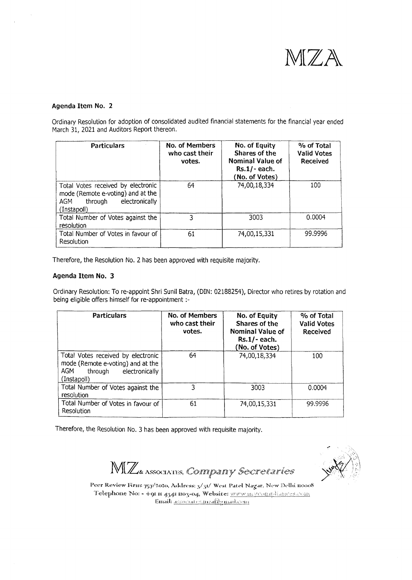

#### **Agenda Item No. 2**

Ordinary Resolution for adoption of consolidated audited financial statements for the financial year ended March 31, 2021 and Auditors Report thereon.

| <b>Particulars</b>                                                                                                         | No. of Members<br>who cast their<br>votes. | No. of Equity<br>Shares of the<br><b>Nominal Value of</b><br>$Rs.1/-$ each.<br>(No. of Votes) | % of Total<br><b>Valid Votes</b><br><b>Received</b> |  |
|----------------------------------------------------------------------------------------------------------------------------|--------------------------------------------|-----------------------------------------------------------------------------------------------|-----------------------------------------------------|--|
| Total Votes received by electronic<br>mode (Remote e-voting) and at the<br>through<br>electronically<br>AGM<br>(Instapoll) | 64                                         | 74,00,18,334                                                                                  | 100                                                 |  |
| Total Number of Votes against the<br>resolution                                                                            | ٦                                          | 3003                                                                                          | 0.0004                                              |  |
| Total Number of Votes in favour of<br>Resolution                                                                           | 61                                         | 74,00,15,331                                                                                  | 99.9996                                             |  |

Therefore, the Resolution No. 2 has been approved with requisite majority.

### **Agenda Item No. 3**

Ordinary Resolution: To re-appoint Shri Sunil Batra, (DIN: 02188254), Director who retires by rotation and being eligible offers himself for re-appointment :-

| <b>Particulars</b>                                                                                                         | No. of Members<br>who cast their<br>votes. | No. of Equity<br>Shares of the<br>Nominal Value of<br>$Rs.1/-$ each.<br>No. of Votes) | % of Total<br><b>Valid Votes</b><br>Received |  |
|----------------------------------------------------------------------------------------------------------------------------|--------------------------------------------|---------------------------------------------------------------------------------------|----------------------------------------------|--|
| Total Votes received by electronic<br>mode (Remote e-voting) and at the<br>AGM<br>through<br>electronically<br>(Instapoli) | 64                                         | 74,00,18,334                                                                          | 100                                          |  |
| Total Number of Votes against the<br>resolution                                                                            | 3                                          | 3003                                                                                  | 0.0004                                       |  |
| Total Number of Votes in favour of<br>Resolution                                                                           | 61                                         | 74,00,15,331                                                                          | 99.9996                                      |  |

Therefore, the Resolution No. 3 has been approved with requisite majority.

MIZ ASSOCIATES, COMMPAINY Secretaries



Peer Review Firm: 757/2020, Address: 3/31/ West Patel Nagar, New Delhi noo08 Telephone No: - +91 m 4341 mo3-04, Website: www.m.younglianoes.com  $\noindent$ **Email:**  $\noindent$ *associates.nead@gmail.com*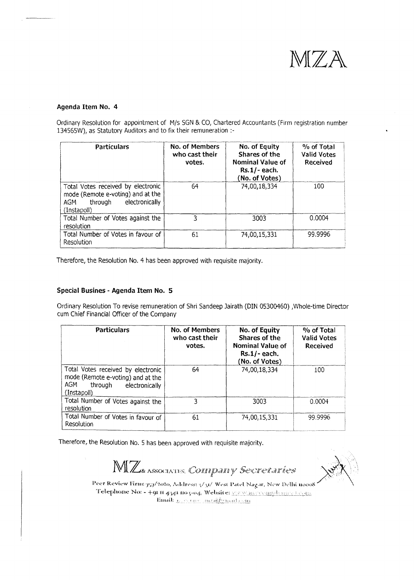

#### **Agenda Item No. 4**

Ordinary Resolution for appointment of M/s SGN & CO, Chartered Accountants (Firm registration number 134565W), as Statutory Auditors and to fix their remuneration :-

| <b>Particulars</b>                                                                                                         | No. of Members<br>who cast their<br>votes. | No. of Equity<br>Shares of the<br>Nominal Value of<br>$Rs.1/-$ each.<br>(No. of Votes) | % of Total<br><b>Valid Votes</b><br><b>Received</b> |  |
|----------------------------------------------------------------------------------------------------------------------------|--------------------------------------------|----------------------------------------------------------------------------------------|-----------------------------------------------------|--|
| Total Votes received by electronic<br>mode (Remote e-voting) and at the<br>through<br>electronically<br>AGM<br>(Instapoll) | 64                                         | 74,00,18,334                                                                           | 100                                                 |  |
| Total Number of Votes against the<br>resolution                                                                            | ٦                                          | 3003                                                                                   | 0.0004                                              |  |
| Total Number of Votes in favour of<br>Resolution                                                                           | 61                                         | 74,00,15,331                                                                           | 99.9996                                             |  |

Therefore, the Resolution No. 4 has been approved with requisite majority.

#### **Special Busines - Agenda Item No. 5**

Ordinary Resolution To revise remuneration of Shri Sandeep Jairath (DIN 05300460) ,Whole-time Director cum Chief Financial Officer of the Company

| <b>Particulars</b>                                                                                                         | No. of Members<br>who cast their<br>votes. | No. of Equity<br>Shares of the<br><b>Nominal Value of</b><br>$Rs.1/-$ each.<br>No. of Votes) | % of Total<br><b>Valid Votes</b><br>Received |
|----------------------------------------------------------------------------------------------------------------------------|--------------------------------------------|----------------------------------------------------------------------------------------------|----------------------------------------------|
| Total Votes received by electronic<br>mode (Remote e-voting) and at the<br>AGM<br>through<br>electronically<br>(Instapoll) | 64                                         | 74,00,18,334                                                                                 | 100                                          |
| Total Number of Votes against the<br>resolution                                                                            | ٦                                          | 3003                                                                                         | 0.0004                                       |
| Total Number of Votes in favour of<br>Resolution                                                                           | 61                                         | 74,00,15,331                                                                                 | 99.9996                                      |

Therefore, the Resolution No. 5 has been approved with requisite majority.

 $\mathbb{M}$  **Z** *ASSOCIATES. COMEPARTY Secretaries* 

Peer Review Firm:  $\frac{1}{157}/\frac{10}{100}$ , Address:  $\frac{1}{31}$  West Patel Nagar, New Delhi nooo8 Telephone No: - +91 ii 4341 mo 5-04, Website: MENER PERMISSIONE LOOM Email: control meachematicam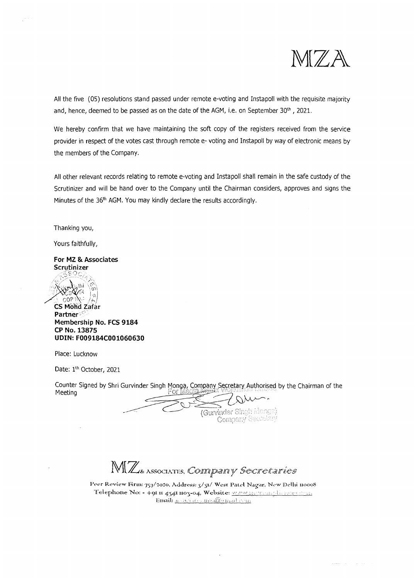

All the five (05) resolutions stand passed under remote e-voting and Instapoll with the requisite majority and, hence, deemed to be passed as on the date of the AGM, i.e. on September 30<sup>th</sup>, 2021.

We hereby confirm that we have maintaining the soft copy of the registers received from the service provider in respect of the votes cast through remote e- voting and Instapoll by way of electronic means by the members of the Company.

All other relevant records relating to remote e-voting and Instapoll shall remain in the safe custody of the Scrutinizer and will be hand over to the Company until the Chairman considers, approves and signs the Minutes of the 36<sup>th</sup> AGM. You may kindly declare the results accordingly.

Thanking you,

Yours faithfully,

**For MZ & Associates Scrutinizer**  *c•',::: ..*"c ·,~'::; '-'



**CS Mohd Zafar** Partner Membership No. FCS 9184 CP No. 13875 UDIN: F009184C001060630

Place: Lucknow

Date: 1<sup>th</sup> October, 2021

Counter Signed by Shri Gurvinder Singh Monga, Company Secretary Authorised by the Chairman of the Meeting

(Gurvinder Singh Monge) Company Secretary

MZ ASSOCIATES, COMMPAINY Secretaries

Peer Review Firm: 757/2020, Address: 3/31/ West Patel Nagar, New Delhi 110008 Telephone No: - +9n n 434n no3-04, Website: www.magroundicades.com. 1. Email: <u>*Assacentes meal Quad com*</u>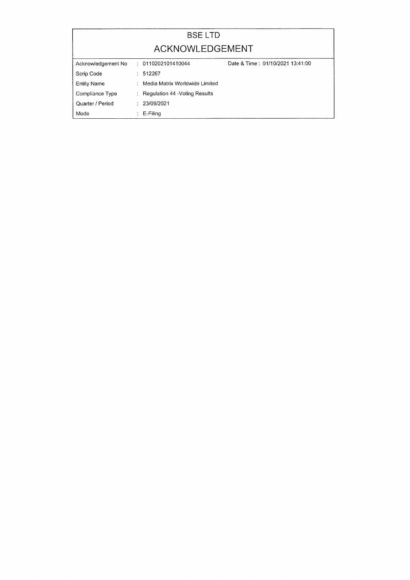| <b>BSELTD</b>      |   |                                  |                                  |  |  |  |
|--------------------|---|----------------------------------|----------------------------------|--|--|--|
| ACKNOWLEDGEMENT    |   |                                  |                                  |  |  |  |
| Acknowledgement No |   | : 0110202101410044               | Date & Time: 01/10/2021 13:41:00 |  |  |  |
| Scrip Code         | ÷ | 512267                           |                                  |  |  |  |
| <b>Entity Name</b> |   | : Media Matrix Worldwide Limited |                                  |  |  |  |
| Compliance Type    |   | : Regulation 44 - Voting Results |                                  |  |  |  |
| Quarter / Period   |   | : 23/09/2021                     |                                  |  |  |  |
| Mode               |   | E-Filing                         |                                  |  |  |  |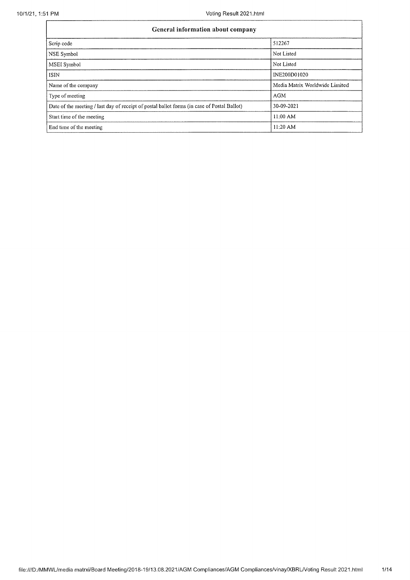| General information about company                                                           |                                |  |  |  |
|---------------------------------------------------------------------------------------------|--------------------------------|--|--|--|
| Scrip code                                                                                  | 512267                         |  |  |  |
| NSE Symbol                                                                                  | Not Listed                     |  |  |  |
| MSEI Symbol                                                                                 | Not Listed                     |  |  |  |
| ISIN                                                                                        | INE200D01020                   |  |  |  |
| Name of the company                                                                         | Media Matrix Worldwide Limited |  |  |  |
| Type of meeting                                                                             | <b>AGM</b>                     |  |  |  |
| Date of the meeting / last day of receipt of postal ballot forms (in case of Postal Ballot) | 30-09-2021                     |  |  |  |
| Start time of the meeting                                                                   | $11:00$ AM                     |  |  |  |
| End time of the meeting                                                                     | $11:20$ AM                     |  |  |  |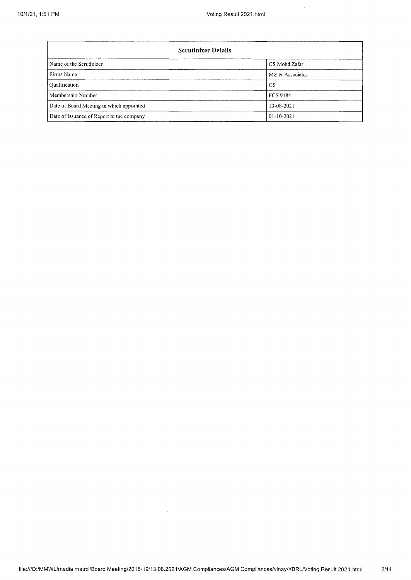| <b>Scrutinizer Details</b>                |                  |  |  |  |
|-------------------------------------------|------------------|--|--|--|
| Name of the Scrutinizer                   | CS Mohd Zafar    |  |  |  |
| Firms Name                                | MZ & Associates  |  |  |  |
| Qualification                             | CS.              |  |  |  |
| Membership Number                         | <b>FCS 9184</b>  |  |  |  |
| Date of Board Meeting in which appointed  | 13-08-2021       |  |  |  |
| Date of Issuance of Report to the company | $01 - 10 - 2021$ |  |  |  |

 $\sim$   $\sim$ 

 $\overline{\phantom{a}}$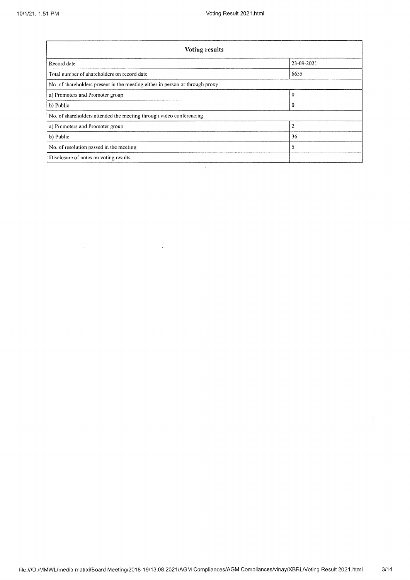| <b>Voting results</b>                                                        |                |  |  |  |
|------------------------------------------------------------------------------|----------------|--|--|--|
| Record date                                                                  | 23-09-2021     |  |  |  |
| Total number of shareholders on record date                                  | 6635           |  |  |  |
| No. of shareholders present in the meeting either in person or through proxy |                |  |  |  |
| a) Promoters and Promoter group                                              | $\theta$       |  |  |  |
| b) Public                                                                    | 0              |  |  |  |
| No. of shareholders attended the meeting through video conferencing          |                |  |  |  |
| a) Promoters and Promoter group                                              | $\overline{2}$ |  |  |  |
| b) Public                                                                    | 36             |  |  |  |
| 5<br>No. of resolution passed in the meeting                                 |                |  |  |  |
| Disclosure of notes on voting results                                        |                |  |  |  |

 $\mathcal{L}$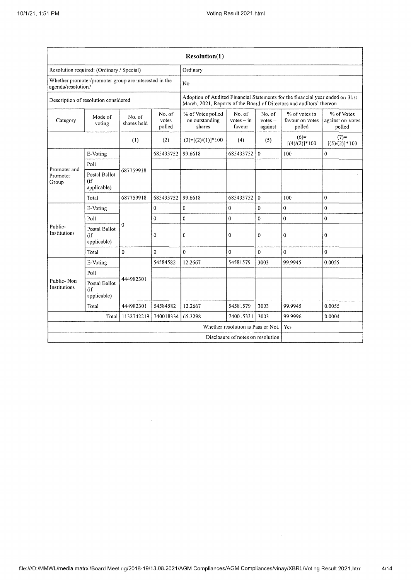|                                                                             |                                        |                       |                           | Resolution(1)                                                                                                                                         |                                  |                                |                                            |                                          |
|-----------------------------------------------------------------------------|----------------------------------------|-----------------------|---------------------------|-------------------------------------------------------------------------------------------------------------------------------------------------------|----------------------------------|--------------------------------|--------------------------------------------|------------------------------------------|
| Resolution required: (Ordinary / Special)                                   |                                        |                       | Ordinary                  |                                                                                                                                                       |                                  |                                |                                            |                                          |
| Whether promoter/promoter group are interested in the<br>agenda/resolution? |                                        |                       |                           | No                                                                                                                                                    |                                  |                                |                                            |                                          |
| Description of resolution considered                                        |                                        |                       |                           | Adoption of Audited Financial Statements for the financial year ended on 31st<br>March, 2021, Reports of the Board of Directors and auditors' thereon |                                  |                                |                                            |                                          |
| Category                                                                    | Mode of<br>voting                      | No. of<br>shares held | No. of<br>votes<br>polled | % of Votes polled<br>on outstanding<br>shares                                                                                                         | No. of<br>$votes - in$<br>favour | No. of<br>$votes -$<br>against | % of votes in<br>favour on votes<br>polled | % of Votes<br>against on votes<br>polled |
|                                                                             |                                        | (1)                   | (2)                       | $(3)=[(2)/(1)]*100$                                                                                                                                   | (4)                              | (5)                            | $(6)=$<br>$[(4)/(2)]$ *100                 | $(7)=$<br>$[(5)/(2)]$ * 100              |
|                                                                             | E-Voting                               |                       | 685433752                 | 99.6618                                                                                                                                               | 685433752                        | $\theta$                       | 100                                        | $\mathbf 0$                              |
| Promoter and                                                                | Poll                                   |                       |                           |                                                                                                                                                       |                                  |                                |                                            |                                          |
| Promoter<br>Group                                                           | Postal Ballot<br>$($ if<br>applicable) | 687759918             |                           |                                                                                                                                                       |                                  |                                |                                            |                                          |
|                                                                             | Total                                  | 687759918             | 685433752                 | 99.6618                                                                                                                                               | 685433752                        | $\theta$                       | 100                                        | $\Omega$                                 |
|                                                                             | E-Voting                               |                       | 0                         | $\bf{0}$                                                                                                                                              | 0                                | $\mathbf 0$                    | $\mathbf 0$                                | $\pmb{0}$                                |
|                                                                             | Poll                                   | $\mathbf{0}$          | $\Omega$                  | $\mathbf 0$                                                                                                                                           | $\Omega$                         | $\mathbf 0$                    | $\overline{0}$                             | $\mathbf{0}$                             |
| Public-<br>Institutions                                                     | Postal Ballot<br>(if<br>applicable)    |                       | $\theta$                  | $\bf{0}$                                                                                                                                              | 0                                | $\bf{0}$                       | $\mathbf 0$                                | 0                                        |
|                                                                             | Total                                  | $\Omega$              | $\theta$                  | $\Omega$                                                                                                                                              | $\Omega$                         | $\mathbf{0}$                   | $\Omega$                                   | 0                                        |
|                                                                             | E-Voting                               |                       | 54584582                  | 12.2667                                                                                                                                               | 54581579                         | 3003                           | 99.9945                                    | 0.0055                                   |
|                                                                             | Poll                                   |                       |                           |                                                                                                                                                       |                                  |                                |                                            |                                          |
| Public-Non<br>Institutions                                                  | Postal Ballot<br>(if<br>applicable)    | 444982301             |                           |                                                                                                                                                       |                                  |                                |                                            |                                          |
|                                                                             | Total                                  | 444982301             | 54584582                  | 12.2667                                                                                                                                               | 54581579                         | 3003                           | 99.9945                                    | 0.0055                                   |
|                                                                             | Total                                  | 1132742219            | 740018334                 | 65.3298                                                                                                                                               | 740015331                        | 3003                           | 99.9996                                    | 0.0004                                   |
|                                                                             |                                        |                       |                           | Whether resolution is Pass or Not.<br>Yes                                                                                                             |                                  |                                |                                            |                                          |
| Disclosure of notes on resolution                                           |                                        |                       |                           |                                                                                                                                                       |                                  |                                |                                            |                                          |

 $\sim 10^{-1}$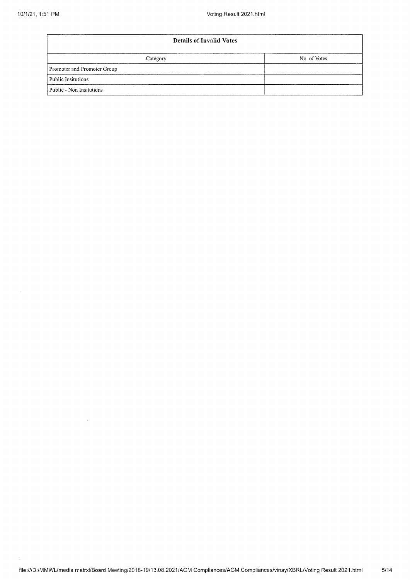| <b>Details of Invalid Votes</b> |              |  |  |  |
|---------------------------------|--------------|--|--|--|
| Category                        | No. of Votes |  |  |  |
| Promoter and Promoter Group     |              |  |  |  |
| Public Insitutions              |              |  |  |  |
| Public - Non Insitutions        |              |  |  |  |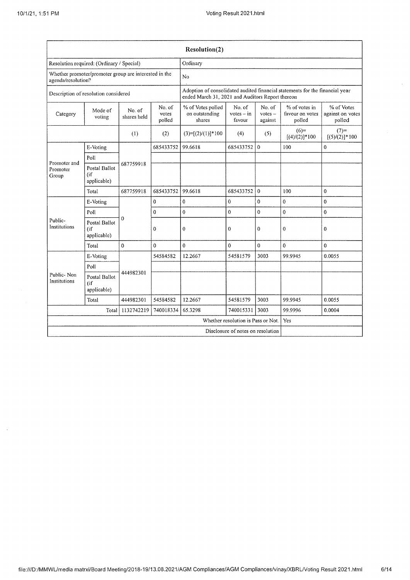à.

| Resolution(2)                                                               |                                       |                       |                           |                                                                                                                                  |                                  |                                |                                            |                                          |
|-----------------------------------------------------------------------------|---------------------------------------|-----------------------|---------------------------|----------------------------------------------------------------------------------------------------------------------------------|----------------------------------|--------------------------------|--------------------------------------------|------------------------------------------|
| Resolution required: (Ordinary / Special)                                   |                                       |                       | Ordinary                  |                                                                                                                                  |                                  |                                |                                            |                                          |
| Whether promoter/promoter group are interested in the<br>agenda/resolution? |                                       |                       |                           | N <sub>0</sub>                                                                                                                   |                                  |                                |                                            |                                          |
| Description of resolution considered                                        |                                       |                       |                           | Adoption of consolidated audited financial statements for the financial year<br>ended March 31, 2021 and Auditors Report thereon |                                  |                                |                                            |                                          |
| Category                                                                    | Mode of<br>voting                     | No. of<br>shares held | No. of<br>votes<br>polled | % of Votes polled<br>on outstanding<br>shares                                                                                    | No. of<br>$votes - in$<br>favour | No. of<br>$votes -$<br>against | % of votes in<br>favour on votes<br>polled | % of Votes<br>against on votes<br>polled |
|                                                                             |                                       | (1)                   | (2)                       | $(3)=[(2)/(1)]*100$                                                                                                              | (4)                              | (5)                            | $(6)=$<br>$[(4)/(2)]$ * 100                | $(7)=$<br>$[(5)/(2)]$ * 100              |
|                                                                             | E-Voting                              |                       | 685433752                 | 99.6618                                                                                                                          | 685433752                        | $\mathbf{0}$                   | 100                                        | $\boldsymbol{0}$                         |
|                                                                             | Poll                                  |                       |                           |                                                                                                                                  |                                  |                                |                                            |                                          |
| Promoter and<br>Promoter<br>Group                                           | Postal Ballot<br>(if<br>applicable)   | 687759918             |                           |                                                                                                                                  |                                  |                                |                                            |                                          |
|                                                                             | Total                                 | 687759918             | 685433752                 | 99.6618                                                                                                                          | 685433752                        | $\mathbf{0}$                   | 100                                        | $\mathbf{0}$                             |
|                                                                             | E-Voting                              |                       | 0                         | $\pmb{0}$                                                                                                                        | $\overline{0}$                   | $\pmb{0}$                      | 0                                          | $\bf{0}$                                 |
|                                                                             | Poll                                  |                       | $\bf{0}$                  | $\overline{0}$                                                                                                                   | $\theta$                         | $\overline{0}$                 | $\overline{0}$                             | $\theta$                                 |
| Public-<br>Institutions                                                     | Postal Ballot<br>(if<br>applicable)   | $\theta$              | $\Omega$                  | 0                                                                                                                                | 0                                | 0                              | 0                                          | $\mathbf{0}$                             |
|                                                                             | Total                                 | $\theta$              | $\Omega$                  | $\Omega$                                                                                                                         | $\theta$                         | $\theta$                       | 0                                          | $\theta$                                 |
|                                                                             | E-Voting                              |                       | 54584582                  | 12.2667                                                                                                                          | 54581579                         | 3003                           | 99.9945                                    | 0.0055                                   |
|                                                                             | Poll                                  |                       |                           |                                                                                                                                  |                                  |                                |                                            |                                          |
| Public-Non<br>Institutions                                                  | Postal Ballot<br>(i f)<br>applicable) | 444982301             |                           |                                                                                                                                  |                                  |                                |                                            |                                          |
|                                                                             | Total                                 | 444982301             | 54584582                  | 12.2667                                                                                                                          | 54581579                         | 3003                           | 99.9945                                    | 0.0055                                   |
| Total<br>1132742219<br>740018334                                            |                                       |                       |                           | 65.3298                                                                                                                          | 740015331                        | 3003                           | 99.9996                                    | 0.0004                                   |
| Whether resolution is Pass or Not.                                          |                                       |                       |                           |                                                                                                                                  | Yes                              |                                |                                            |                                          |
| Disclosure of notes on resolution                                           |                                       |                       |                           |                                                                                                                                  |                                  |                                |                                            |                                          |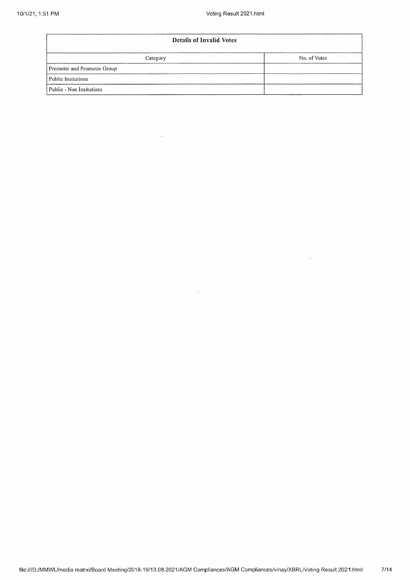$\sim 10^6$ 

| <b>Details of Invalid Votes</b> |  |  |  |  |  |  |
|---------------------------------|--|--|--|--|--|--|
| No. of Votes<br>Category        |  |  |  |  |  |  |
| Promoter and Promoter Group     |  |  |  |  |  |  |
| Public Insitutions              |  |  |  |  |  |  |
| Public - Non Insitutions        |  |  |  |  |  |  |

 $\mathcal{A}^{\mathcal{A}}$ 

 $\sim 10^{-11}$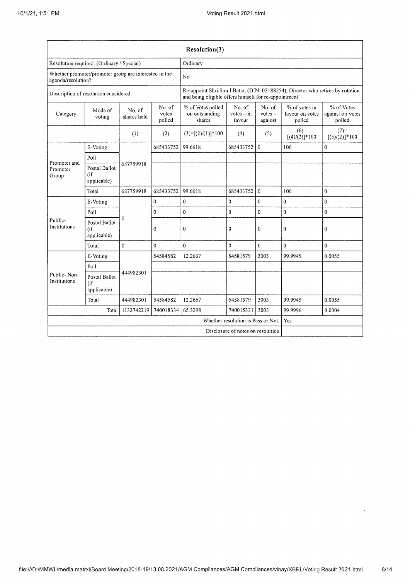| Resolution(3)                                                               |                                     |                       |                           |                                                                                                                                        |                                  |                                |                                            |                                          |  |
|-----------------------------------------------------------------------------|-------------------------------------|-----------------------|---------------------------|----------------------------------------------------------------------------------------------------------------------------------------|----------------------------------|--------------------------------|--------------------------------------------|------------------------------------------|--|
| Resolution required: (Ordinary / Special)                                   |                                     | Ordinary              |                           |                                                                                                                                        |                                  |                                |                                            |                                          |  |
| Whether promoter/promoter group are interested in the<br>agenda/resolution? |                                     |                       |                           | N <sub>0</sub>                                                                                                                         |                                  |                                |                                            |                                          |  |
| Description of resolution considered                                        |                                     |                       |                           | Re-appoint Shri Sunil Batra, (DIN: 02188254), Director who retires by rotation<br>and being eligible offers himself for re-appointment |                                  |                                |                                            |                                          |  |
| Category                                                                    | Mode of<br>voting                   | No. of<br>shares held | No. of<br>votes<br>polled | % of Votes polled<br>on outstanding<br>shares                                                                                          | No. of<br>$votes - in$<br>favour | No. of<br>$votes -$<br>against | % of votes in<br>favour on votes<br>polled | % of Votes<br>against on votes<br>polled |  |
|                                                                             |                                     | (1)                   | (2)                       | $(3)=[(2)/(1)]*100$                                                                                                                    | (4)                              | (5)                            | $(6)=$<br>$[(4)/(2)]$ *100                 | $(7)=$<br>$[(5)/(2)]$ * 100              |  |
|                                                                             | E-Voting                            |                       | 685433752                 | 99.6618                                                                                                                                | 685433752                        | $\mathbf{0}$                   | 100                                        | $\bf{0}$                                 |  |
| Promoter and                                                                | Poll                                |                       |                           |                                                                                                                                        |                                  |                                |                                            |                                          |  |
| Promoter<br>Group                                                           | Postal Ballot<br>(if<br>applicable) | 687759918             |                           |                                                                                                                                        |                                  |                                |                                            |                                          |  |
|                                                                             | Total                               | 687759918             | 685433752                 | 99.6618                                                                                                                                | 685433752                        | $\theta$                       | 100                                        | $\bf{0}$                                 |  |
|                                                                             | E-Voting                            | $\Omega$              | $\overline{0}$            | $\bf{0}$                                                                                                                               | $\bf{0}$                         | $\mathbf 0$                    | $\bf{0}$                                   | $\bf{0}$                                 |  |
|                                                                             | Poll                                |                       | 0                         | $\mathbf{0}$                                                                                                                           | $\bf{0}$                         | 0                              | $\boldsymbol{0}$                           | 0                                        |  |
| Public-<br>Institutions                                                     | Postal Ballot<br>(if<br>applicable) |                       | 0                         | 0                                                                                                                                      | $\bf{0}$                         | 0                              | $\bf{0}$                                   | $\boldsymbol{0}$                         |  |
|                                                                             | Total                               | $\Omega$              | 0                         | 0                                                                                                                                      | $\Omega$                         | $\overline{0}$                 | $\Omega$                                   | $\theta$                                 |  |
|                                                                             | E-Voting                            |                       | 54584582                  | 12.2667                                                                                                                                | 54581579                         | 3003                           | 99.9945                                    | 0.0055                                   |  |
|                                                                             | Poll                                |                       |                           |                                                                                                                                        |                                  |                                |                                            |                                          |  |
| Public-Non<br>Institutions                                                  | Postal Ballot<br>(if<br>applicable) | 444982301             |                           |                                                                                                                                        |                                  |                                |                                            |                                          |  |
|                                                                             | Total                               | 444982301             | 54584582                  | 12.2667                                                                                                                                | 54581579                         | 3003                           | 99.9945                                    | 0.0055                                   |  |
| 1132742219<br>740018334<br>Total                                            |                                     |                       | 65.3298                   | 740015331                                                                                                                              | 3003                             | 99.9996                        | 0.0004                                     |                                          |  |
| Whether resolution is Pass or Not.                                          |                                     |                       |                           |                                                                                                                                        |                                  | Yes                            |                                            |                                          |  |
| Disclosure of notes on resolution                                           |                                     |                       |                           |                                                                                                                                        |                                  |                                |                                            |                                          |  |

 $\bar{V}$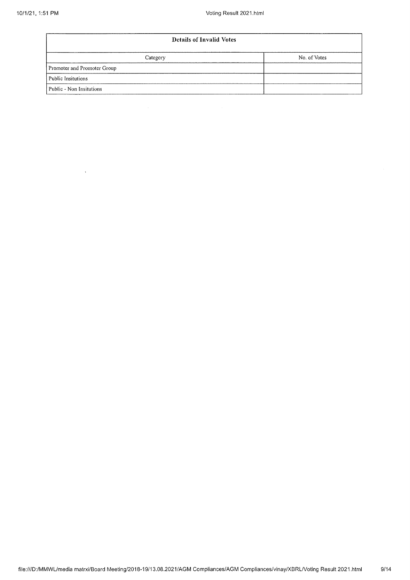| <b>Details of Invalid Votes</b> |              |  |  |  |
|---------------------------------|--------------|--|--|--|
| Category                        | No. of Votes |  |  |  |
| Promoter and Promoter Group     |              |  |  |  |
| Public Insitutions              |              |  |  |  |
| Public - Non Insitutions        |              |  |  |  |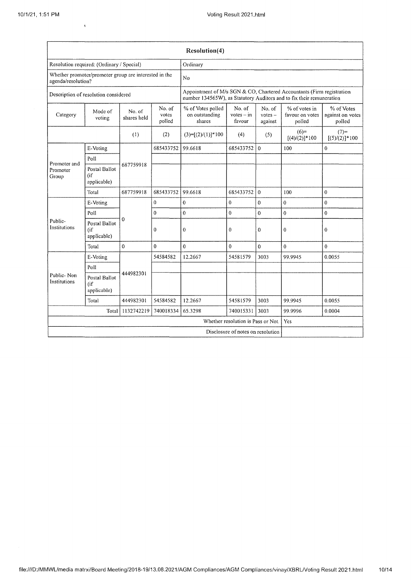Á

| <b>Resolution(4)</b>                                                        |                                       |                       |                           |                                                                                                                                               |                                  |                                |                                            |                                          |
|-----------------------------------------------------------------------------|---------------------------------------|-----------------------|---------------------------|-----------------------------------------------------------------------------------------------------------------------------------------------|----------------------------------|--------------------------------|--------------------------------------------|------------------------------------------|
| Resolution required: (Ordinary / Special)                                   |                                       |                       | Ordinary                  |                                                                                                                                               |                                  |                                |                                            |                                          |
| Whether promoter/promoter group are interested in the<br>agenda/resolution? |                                       |                       |                           | No                                                                                                                                            |                                  |                                |                                            |                                          |
| Description of resolution considered                                        |                                       |                       |                           | Appointment of M/s SGN & CO, Chartered Accountants (Firm registration<br>number 134565W), as Statutory Auditors and to fix their remuneration |                                  |                                |                                            |                                          |
| Category                                                                    | Mode of<br>voting                     | No. of<br>shares held | No. of<br>votes<br>polled | % of Votes polled<br>on outstanding<br>shares                                                                                                 | No. of<br>$votes - in$<br>favour | No. of<br>$votes -$<br>against | % of votes in<br>favour on votes<br>polled | % of Votes<br>against on votes<br>polled |
|                                                                             |                                       | (1)                   | (2)                       | $(3)=[(2)/(1)]*100$                                                                                                                           | (4)                              | (5)                            | $(6)=$<br>$[(4)/(2)]*100$                  | $(7)$ =<br>$[(5)/(2)]$ *100              |
|                                                                             | E-Voting                              |                       | 685433752                 | 99.6618                                                                                                                                       | 685433752                        | $\mathbf{0}$                   | 100                                        | 0                                        |
| Promoter and                                                                | Poll                                  |                       |                           |                                                                                                                                               |                                  |                                |                                            |                                          |
| Promoter<br>Group                                                           | Postal Ballot<br>(if<br>applicable)   | 687759918             |                           |                                                                                                                                               |                                  |                                |                                            |                                          |
|                                                                             | Total                                 | 687759918             | 685433752                 | 99.6618                                                                                                                                       | 685433752                        | $\Omega$                       | 100                                        | 0                                        |
|                                                                             | E-Voting                              | $\Omega$              | $\mathbf{0}$              | $\mathbf{0}$                                                                                                                                  | 0                                | 0                              | $\bf{0}$                                   | $\bf{0}$                                 |
|                                                                             | Poll                                  |                       | $\mathbf{0}$              | $\theta$                                                                                                                                      | $\mathbf 0$                      | $\overline{0}$                 | $\theta$                                   | $\overline{0}$                           |
| Public-<br>Institutions                                                     | Postal Ballot<br>(if<br>applicable)   |                       | $\bf{0}$                  | $\Omega$                                                                                                                                      | $\bf{0}$                         | $\mathbf{0}$                   | $\mathbf{0}$                               | 0                                        |
|                                                                             | Total                                 | $\mathbf{0}$          | $\bf{0}$                  | $\mathbf{0}$                                                                                                                                  | $\bf{0}$                         | $\mathbf{0}$                   | $\theta$                                   | $\theta$                                 |
|                                                                             | E-Voting                              |                       | 54584582                  | 12.2667                                                                                                                                       | 54581579                         | 3003                           | 99.9945                                    | 0.0055                                   |
|                                                                             | Poll                                  |                       |                           |                                                                                                                                               |                                  |                                |                                            |                                          |
| Public-Non<br>Institutions                                                  | Postal Ballot<br>(i f)<br>applicable) | 444982301             |                           |                                                                                                                                               |                                  |                                |                                            |                                          |
|                                                                             | Total                                 | 444982301             | 54584582                  | 12.2667                                                                                                                                       | 54581579                         | 3003                           | 99.9945                                    | 0.0055                                   |
|                                                                             | Total                                 | 740018334             | 65.3298                   | 740015331                                                                                                                                     | 3003                             | 99.9996                        | 0.0004                                     |                                          |
| Whether resolution is Pass or Not.                                          |                                       |                       |                           |                                                                                                                                               | Yes                              |                                |                                            |                                          |
| Disclosure of notes on resolution                                           |                                       |                       |                           |                                                                                                                                               |                                  |                                |                                            |                                          |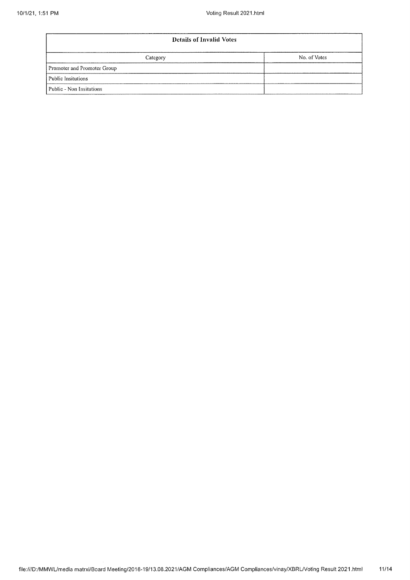| <b>Details of Invalid Votes</b> |              |  |  |  |  |
|---------------------------------|--------------|--|--|--|--|
| Category                        | No. of Votes |  |  |  |  |
| Promoter and Promoter Group     |              |  |  |  |  |
| Public Insitutions              |              |  |  |  |  |
| Public - Non Insitutions        |              |  |  |  |  |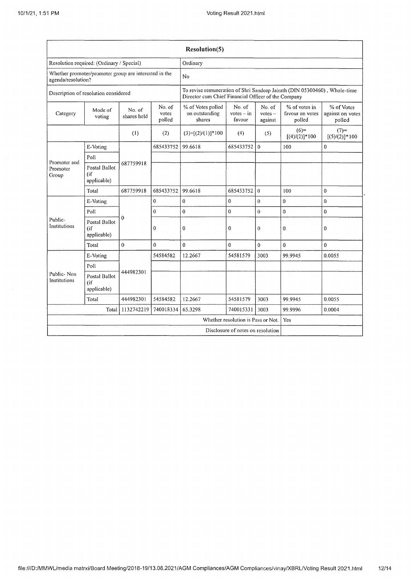| <b>Resolution(5)</b>                                                        |                                        |                       |                           |                                                                                                                                  |                                           |                                |                                            |                                          |
|-----------------------------------------------------------------------------|----------------------------------------|-----------------------|---------------------------|----------------------------------------------------------------------------------------------------------------------------------|-------------------------------------------|--------------------------------|--------------------------------------------|------------------------------------------|
| Resolution required: (Ordinary / Special)                                   |                                        | Ordinary              |                           |                                                                                                                                  |                                           |                                |                                            |                                          |
| Whether promoter/promoter group are interested in the<br>agenda/resolution? |                                        |                       |                           | No                                                                                                                               |                                           |                                |                                            |                                          |
| Description of resolution considered                                        |                                        |                       |                           | To revise remuneration of Shri Sandeep Jairath (DIN 05300460), Whole-time<br>Director cum Chief Financial Officer of the Company |                                           |                                |                                            |                                          |
| Category                                                                    | Mode of<br>voting                      | No. of<br>shares held | No. of<br>votes<br>polled | % of Votes polled<br>on outstanding<br>shares                                                                                    | No. of<br>$votes - in$<br>favour          | No. of<br>$votes -$<br>against | % of votes in<br>favour on votes<br>polled | % of Votes<br>against on votes<br>polled |
|                                                                             |                                        | (1)                   | (2)                       | $(3)=[(2)/(1)]*100$                                                                                                              | (4)                                       | (5)                            | $(6)=$<br>$[(4)/(2)]*100$                  | $(7)=$<br>$[(5)/(2)]$ * 100              |
|                                                                             | E-Voting                               |                       | 685433752                 | 99.6618                                                                                                                          | 685433752                                 | $\theta$                       | 100                                        | 0                                        |
| Promoter and                                                                | Poll                                   |                       |                           |                                                                                                                                  |                                           |                                |                                            |                                          |
| Promoter<br>Group                                                           | Postal Ballot<br>(if<br>applicable)    | 687759918             |                           |                                                                                                                                  |                                           |                                |                                            |                                          |
|                                                                             | Total                                  | 687759918             | 685433752                 | 99.6618                                                                                                                          | 685433752                                 | $\bf{0}$                       | 100                                        | $\boldsymbol{0}$                         |
|                                                                             | E-Voting                               | $\Omega$              | 0                         | 0                                                                                                                                | $\bf{0}$                                  | $\bf{0}$                       | $\mathbf{0}$                               | $\bf{0}$                                 |
|                                                                             | Poll                                   |                       | $\mathbf{0}$              | $\bf{0}$                                                                                                                         | $\Omega$                                  | $\boldsymbol{0}$               | $\overline{0}$                             | $\mathbf 0$                              |
| Public-<br>Institutions                                                     | Postal Ballot<br>$\int$<br>applicable) |                       | $\theta$                  | $\theta$                                                                                                                         | $\Omega$                                  | $\mathbf{0}$                   | $\mathbf 0$                                | 0                                        |
|                                                                             | Total                                  | $\mathbf{0}$          | 0                         | $\Omega$                                                                                                                         | $\Omega$                                  | $\mathbf 0$                    | $\mathbf{0}$                               | $\bf{0}$                                 |
|                                                                             | E-Voting                               |                       | 54584582                  | 12.2667                                                                                                                          | 54581579                                  | 3003                           | 99.9945                                    | 0.0055                                   |
| Public-Non<br>Institutions                                                  | Poll                                   |                       |                           |                                                                                                                                  |                                           |                                |                                            |                                          |
|                                                                             | Postal Ballot<br>(i)<br>applicable)    | 444982301             |                           |                                                                                                                                  |                                           |                                |                                            |                                          |
|                                                                             | Total                                  | 444982301             | 54584582                  | 12.2667                                                                                                                          | 54581579                                  | 3003                           | 99.9945                                    | 0.0055                                   |
| 1132742219<br>740018334<br>Total                                            |                                        |                       | 65.3298                   | 740015331                                                                                                                        | 3003                                      | 99.9996                        | 0.0004                                     |                                          |
|                                                                             |                                        |                       |                           |                                                                                                                                  | Whether resolution is Pass or Not.<br>Yes |                                |                                            |                                          |
|                                                                             |                                        |                       |                           |                                                                                                                                  | Disclosure of notes on resolution         |                                |                                            |                                          |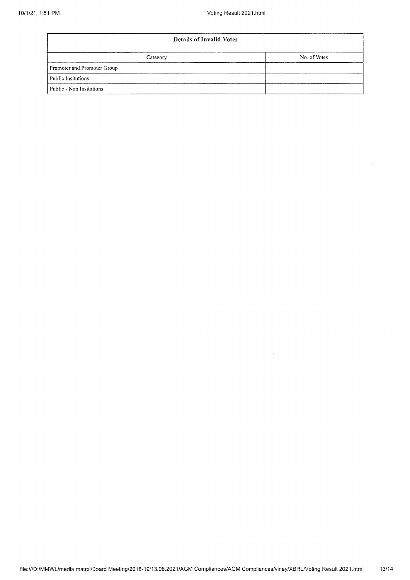$\hat{\boldsymbol{\beta}}$ 

 $\bar{\mathbf{r}}$ 

| <b>Details of Invalid Votes</b> |              |  |  |  |
|---------------------------------|--------------|--|--|--|
| Category                        | No. of Votes |  |  |  |
| Promoter and Promoter Group     |              |  |  |  |
| Public Insitutions              |              |  |  |  |
| Public - Non Insitutions        |              |  |  |  |